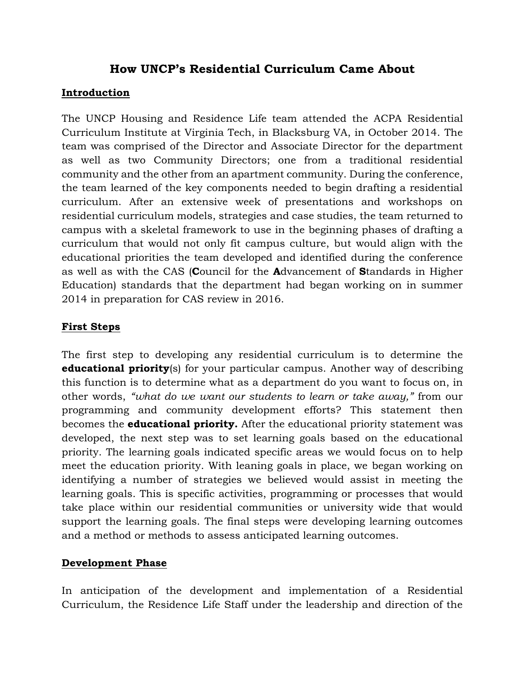# **How UNCP's Residential Curriculum Came About**

## **Introduction**

The UNCP Housing and Residence Life team attended the ACPA Residential Curriculum Institute at Virginia Tech, in Blacksburg VA, in October 2014. The team was comprised of the Director and Associate Director for the department as well as two Community Directors; one from a traditional residential community and the other from an apartment community. During the conference, the team learned of the key components needed to begin drafting a residential curriculum. After an extensive week of presentations and workshops on residential curriculum models, strategies and case studies, the team returned to campus with a skeletal framework to use in the beginning phases of drafting a curriculum that would not only fit campus culture, but would align with the educational priorities the team developed and identified during the conference as well as with the CAS (**C**ouncil for the **A**dvancement of **S**tandards in Higher Education) standards that the department had began working on in summer 2014 in preparation for CAS review in 2016.

# **First Steps**

The first step to developing any residential curriculum is to determine the **educational priority**(s) for your particular campus. Another way of describing this function is to determine what as a department do you want to focus on, in other words, *"what do we want our students to learn or take away,"* from our programming and community development efforts? This statement then becomes the **educational priority.** After the educational priority statement was developed, the next step was to set learning goals based on the educational priority. The learning goals indicated specific areas we would focus on to help meet the education priority. With leaning goals in place, we began working on identifying a number of strategies we believed would assist in meeting the learning goals. This is specific activities, programming or processes that would take place within our residential communities or university wide that would support the learning goals. The final steps were developing learning outcomes and a method or methods to assess anticipated learning outcomes.

#### **Development Phase**

In anticipation of the development and implementation of a Residential Curriculum, the Residence Life Staff under the leadership and direction of the